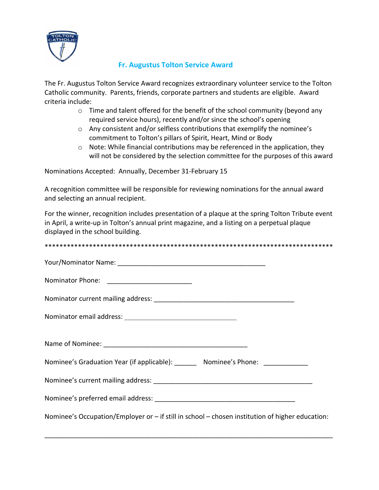

## **Fr. Augustus Tolton Service Award**

The Fr. Augustus Tolton Service Award recognizes extraordinary volunteer service to the Tolton Catholic community. Parents, friends, corporate partners and students are eligible. Award criteria include:

- $\circ$  Time and talent offered for the benefit of the school community (beyond any required service hours), recently and/or since the school's opening
- o Any consistent and/or selfless contributions that exemplify the nominee's commitment to Tolton's pillars of Spirit, Heart, Mind or Body
- $\circ$  Note: While financial contributions may be referenced in the application, they will not be considered by the selection committee for the purposes of this award

Nominations Accepted: Annually, December 31-February 15

A recognition committee will be responsible for reviewing nominations for the annual award and selecting an annual recipient.

For the winner, recognition includes presentation of a plaque at the spring Tolton Tribute event in April, a write-up in Tolton's annual print magazine, and a listing on a perpetual plaque displayed in the school building.

| Nominee's Graduation Year (if applicable): ________ Nominee's Phone: ___________                |
|-------------------------------------------------------------------------------------------------|
|                                                                                                 |
|                                                                                                 |
| Nominee's Occupation/Employer or - if still in school - chosen institution of higher education: |